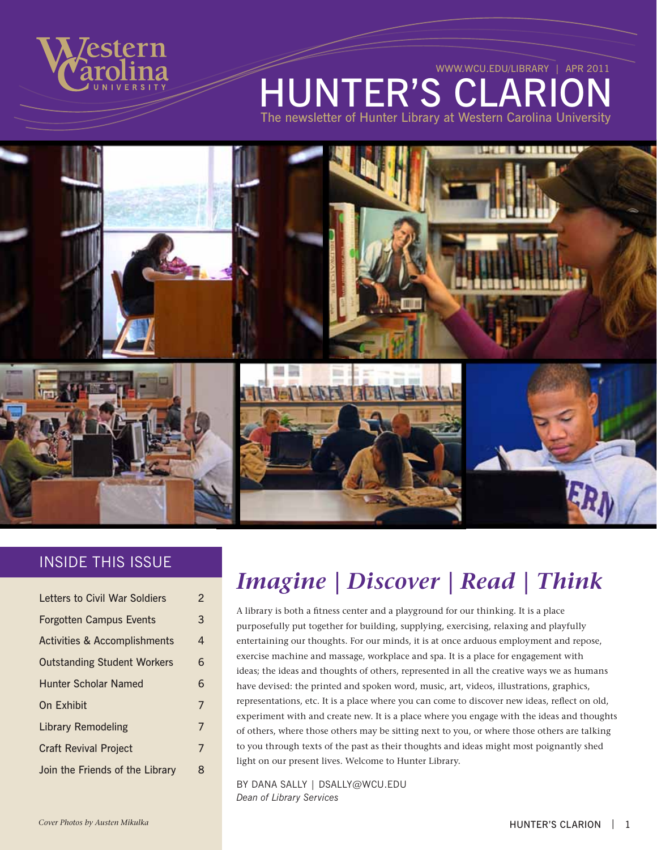

**HUNTER'S CLAR** The newsletter of Hunter Library at Western Carolina University [www.wcu.edu/library](http://www.wcu.edu/library) | APR 2011

#### INSIDE THIS ISSUE

| Letters to Civil War Soldiers           | 2 |
|-----------------------------------------|---|
| <b>Forgotten Campus Events</b>          | 3 |
| <b>Activities &amp; Accomplishments</b> | 4 |
| <b>Outstanding Student Workers</b>      | 6 |
| <b>Hunter Scholar Named</b>             | 6 |
| On Exhibit                              | 7 |
| <b>Library Remodeling</b>               | 7 |
| <b>Craft Revival Project</b>            | 7 |
| Join the Friends of the Library         | 8 |

# *Imagine | Discover | Read | Think*

A library is both a fitness center and a playground for our thinking. It is a place purposefully put together for building, supplying, exercising, relaxing and playfully entertaining our thoughts. For our minds, it is at once arduous employment and repose, exercise machine and massage, workplace and spa. It is a place for engagement with ideas; the ideas and thoughts of others, represented in all the creative ways we as humans have devised: the printed and spoken word, music, art, videos, illustrations, graphics, representations, etc. It is a place where you can come to discover new ideas, reflect on old, experiment with and create new. It is a place where you engage with the ideas and thoughts of others, where those others may be sitting next to you, or where those others are talking to you through texts of the past as their thoughts and ideas might most poignantly shed light on our present lives. Welcome to Hunter Library.

BY Dana Sally | [dsally@WCU.EDU](mailto:dsally%40WCU.EDU%20?subject=) *Dean of Library Services*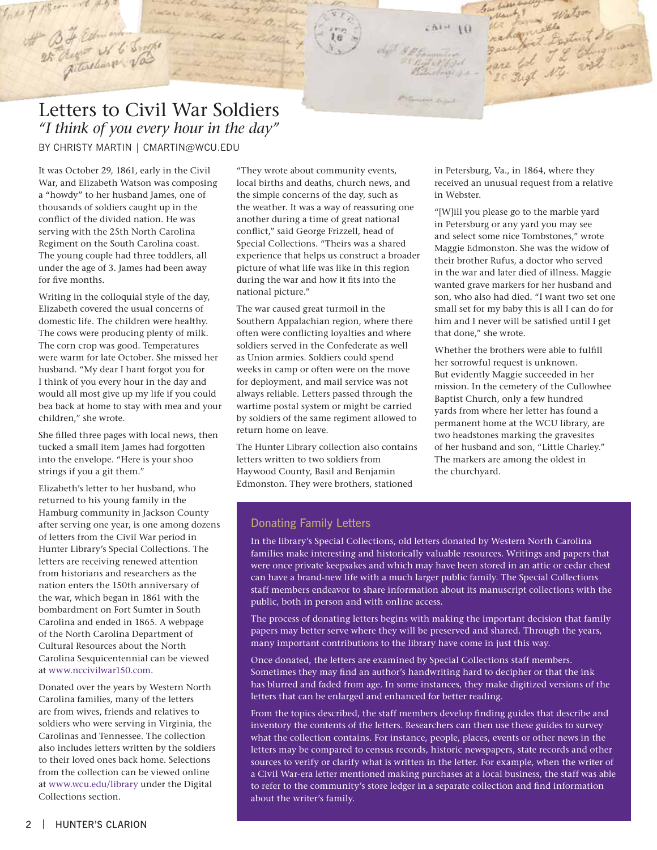## Letters to Civil War Soldiers *"I think of you every hour in the day"*

By CHRISTY MARTIN | [CMARTIN@WCU.EDU](mailto:CMARTIN%40WCU.EDU?subject=)

<span id="page-1-0"></span>the B H Remove of C Single

It was October 29, 1861, early in the Civil War, and Elizabeth Watson was composing a "howdy" to her husband James, one of thousands of soldiers caught up in the conflict of the divided nation. He was serving with the 25th North Carolina Regiment on the South Carolina coast. The young couple had three toddlers, all under the age of 3. James had been away for five months.

Writing in the colloquial style of the day, Elizabeth covered the usual concerns of domestic life. The children were healthy. The cows were producing plenty of milk. The corn crop was good. Temperatures were warm for late October. She missed her husband. "My dear I hant forgot you for I think of you every hour in the day and would all most give up my life if you could bea back at home to stay with mea and your children," she wrote.

She filled three pages with local news, then tucked a small item James had forgotten into the envelope. "Here is your shoo strings if you a git them."

Elizabeth's letter to her husband, who returned to his young family in the Hamburg community in Jackson County after serving one year, is one among dozens of letters from the Civil War period in Hunter Library's Special Collections. The letters are receiving renewed attention from historians and researchers as the nation enters the 150th anniversary of the war, which began in 1861 with the bombardment on Fort Sumter in South Carolina and ended in 1865. A webpage of the North Carolina Department of Cultural Resources about the North Carolina Sesquicentennial can be viewed at [www.nccivilwar150.com.](www.nccivilwar150.com)

Donated over the years by Western North Carolina families, many of the letters are from wives, friends and relatives to soldiers who were serving in Virginia, the Carolinas and Tennessee. The collection also includes letters written by the soldiers to their loved ones back home. Selections from the collection can be viewed online at [www.wcu.edu/library](http://www.wcu.edu/library/DigitalColl/default.asp) under the Digital Collections section.

"They wrote about community events, local births and deaths, church news, and the simple concerns of the day, such as the weather. It was a way of reassuring one another during a time of great national conflict," said George Frizzell, head of Special Collections. "Theirs was a shared experience that helps us construct a broader picture of what life was like in this region during the war and how it fits into the national picture."

The war caused great turmoil in the Southern Appalachian region, where there often were conflicting loyalties and where soldiers served in the Confederate as well as Union armies. Soldiers could spend weeks in camp or often were on the move for deployment, and mail service was not always reliable. Letters passed through the wartime postal system or might be carried by soldiers of the same regiment allowed to return home on leave.

The Hunter Library collection also contains letters written to two soldiers from Haywood County, Basil and Benjamin Edmonston. They were brothers, stationed

in Petersburg, Va., in 1864, where they received an unusual request from a relative in Webster.

 $A + B$ 

"[W]ill you please go to the marble yard in Petersburg or any yard you may see and select some nice Tombstones," wrote Maggie Edmonston. She was the widow of their brother Rufus, a doctor who served in the war and later died of illness. Maggie wanted grave markers for her husband and son, who also had died. "I want two set one small set for my baby this is all I can do for him and I never will be satisfied until I get that done," she wrote.

Whether the brothers were able to fulfill her sorrowful request is unknown. But evidently Maggie succeeded in her mission. In the cemetery of the Cullowhee Baptist Church, only a few hundred yards from where her letter has found a permanent home at the WCU library, are two headstones marking the gravesites of her husband and son, "Little Charley." The markers are among the oldest in the churchyard.

#### Donating Family Letters

In the library's Special Collections, old letters donated by Western North Carolina families make interesting and historically valuable resources. Writings and papers that were once private keepsakes and which may have been stored in an attic or cedar chest can have a brand-new life with a much larger public family. The Special Collections staff members endeavor to share information about its manuscript collections with the public, both in person and with online access.

The process of donating letters begins with making the important decision that family papers may better serve where they will be preserved and shared. Through the years, many important contributions to the library have come in just this way.

Once donated, the letters are examined by Special Collections staff members. Sometimes they may find an author's handwriting hard to decipher or that the ink has blurred and faded from age. In some instances, they make digitized versions of the letters that can be enlarged and enhanced for better reading.

From the topics described, the staff members develop finding guides that describe and inventory the contents of the letters. Researchers can then use these guides to survey what the collection contains. For instance, people, places, events or other news in the letters may be compared to census records, historic newspapers, state records and other sources to verify or clarify what is written in the letter. For example, when the writer of a Civil War-era letter mentioned making purchases at a local business, the staff was able to refer to the community's store ledger in a separate collection and find information about the writer's family.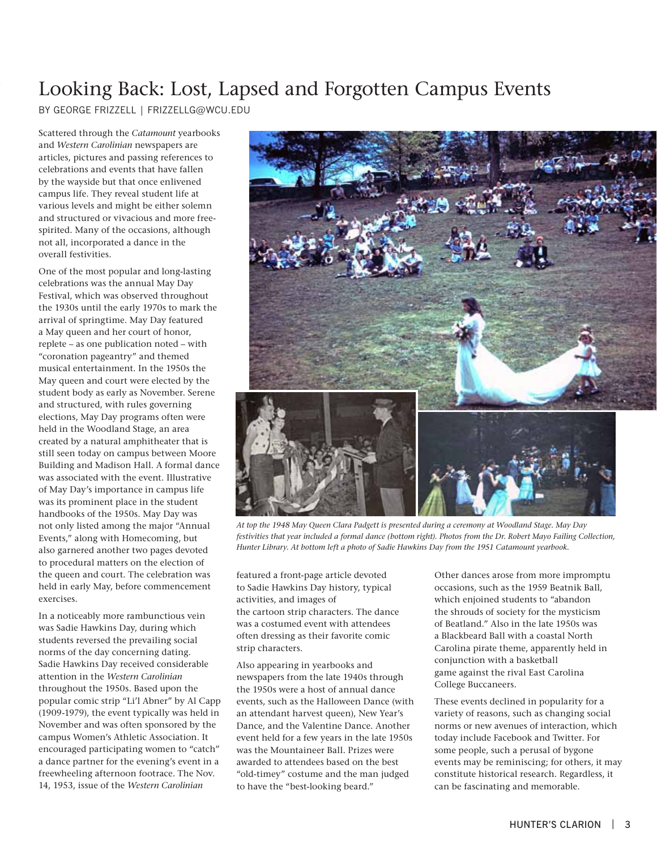# <span id="page-2-0"></span>Looking Back: Lost, Lapsed and Forgotten Campus Events

By GEORGE FRIZZELL | [FRIZZELLG@WCU.EDU](mailto:FRIZZELLG%40WCU.EDU?subject=)

Scattered through the *Catamount* yearbooks and *Western Carolinian* newspapers are articles, pictures and passing references to celebrations and events that have fallen by the wayside but that once enlivened campus life. They reveal student life at various levels and might be either solemn and structured or vivacious and more freespirited. Many of the occasions, although not all, incorporated a dance in the overall festivities.

One of the most popular and long-lasting celebrations was the annual May Day Festival, which was observed throughout the 1930s until the early 1970s to mark the arrival of springtime. May Day featured a May queen and her court of honor, replete – as one publication noted – with "coronation pageantry" and themed musical entertainment. In the 1950s the May queen and court were elected by the student body as early as November. Serene and structured, with rules governing elections, May Day programs often were held in the Woodland Stage, an area created by a natural amphitheater that is still seen today on campus between Moore Building and Madison Hall. A formal dance was associated with the event. Illustrative of May Day's importance in campus life was its prominent place in the student handbooks of the 1950s. May Day was not only listed among the major "Annual Events," along with Homecoming, but also garnered another two pages devoted to procedural matters on the election of the queen and court. The celebration was held in early May, before commencement exercises.

In a noticeably more rambunctious vein was Sadie Hawkins Day, during which students reversed the prevailing social norms of the day concerning dating. Sadie Hawkins Day received considerable attention in the *Western Carolinian*  throughout the 1950s. Based upon the popular comic strip "Li'l Abner" by Al Capp (1909-1979), the event typically was held in November and was often sponsored by the campus Women's Athletic Association. It encouraged participating women to "catch" a dance partner for the evening's event in a freewheeling afternoon footrace. The Nov. 14, 1953, issue of the *Western Carolinian*



*At top the 1948 May Queen Clara Padgett is presented during a ceremony at Woodland Stage. May Day*  festivities that year included a formal dance (bottom right). Photos from the Dr. Robert Mayo Failing Collection, *Hunter Library. At bottom left a photo of Sadie Hawkins Day from the 1951 Catamount yearbook.*

featured a front-page article devoted to Sadie Hawkins Day history, typical activities, and images of the cartoon strip characters. The dance was a costumed event with attendees often dressing as their favorite comic strip characters.

Also appearing in yearbooks and newspapers from the late 1940s through the 1950s were a host of annual dance events, such as the Halloween Dance (with an attendant harvest queen), New Year's Dance, and the Valentine Dance. Another event held for a few years in the late 1950s was the Mountaineer Ball. Prizes were awarded to attendees based on the best "old-timey" costume and the man judged to have the "best-looking beard."

Other dances arose from more impromptu occasions, such as the 1959 Beatnik Ball, which enjoined students to "abandon the shrouds of society for the mysticism of Beatland." Also in the late 1950s was a Blackbeard Ball with a coastal North Carolina pirate theme, apparently held in conjunction with a basketball game against the rival East Carolina College Buccaneers.

These events declined in popularity for a variety of reasons, such as changing social norms or new avenues of interaction, which today include Facebook and Twitter. For some people, such a perusal of bygone events may be reminiscing; for others, it may constitute historical research. Regardless, it can be fascinating and memorable.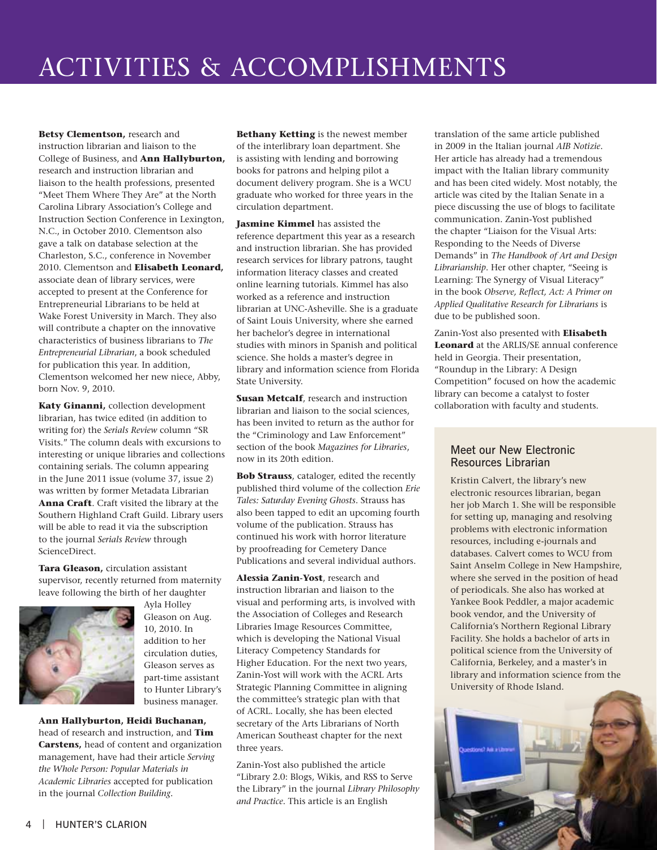<span id="page-3-0"></span>**Betsy Clementson,** research and instruction librarian and liaison to the College of Business, and **Ann Hallyburton,**  research and instruction librarian and liaison to the health professions, presented "Meet Them Where They Are" at the North Carolina Library Association's College and Instruction Section Conference in Lexington, N.C., in October 2010. Clementson also gave a talk on database selection at the Charleston, S.C., conference in November 2010. Clementson and **Elisabeth Leonard,**  associate dean of library services, were accepted to present at the Conference for Entrepreneurial Librarians to be held at Wake Forest University in March. They also will contribute a chapter on the innovative characteristics of business librarians to *The Entrepreneurial Librarian*, a book scheduled for publication this year. In addition, Clementson welcomed her new niece, Abby, born Nov. 9, 2010.

**Katy Ginanni,** collection development librarian, has twice edited (in addition to writing for) the *Serials Review* column "SR Visits." The column deals with excursions to interesting or unique libraries and collections containing serials. The column appearing in the June 2011 issue (volume 37, issue 2) was written by former Metadata Librarian **Anna Craft**. Craft visited the library at the Southern Highland Craft Guild. Library users will be able to read it via the subscription to the journal *Serials Review* through ScienceDirect.

**Tara Gleason,** circulation assistant supervisor, recently returned from maternity leave following the birth of her daughter



Ayla Holley Gleason on Aug. 10, 2010. In addition to her circulation duties, Gleason serves as part-time assistant to Hunter Library's business manager.

**Ann Hallyburton, Heidi Buchanan,**  head of research and instruction, and **Tim Carstens,** head of content and organization management, have had their article *Serving the Whole Person: Popular Materials in Academic Libraries* accepted for publication in the journal *Collection Building.*

**Bethany Ketting** is the newest member of the interlibrary loan department. She is assisting with lending and borrowing books for patrons and helping pilot a document delivery program. She is a WCU graduate who worked for three years in the circulation department.

**Jasmine Kimmel** has assisted the reference department this year as a research and instruction librarian. She has provided research services for library patrons, taught information literacy classes and created online learning tutorials. Kimmel has also worked as a reference and instruction librarian at UNC-Asheville. She is a graduate of Saint Louis University, where she earned her bachelor's degree in international studies with minors in Spanish and political science. She holds a master's degree in library and information science from Florida State University.

**Susan Metcalf**, research and instruction librarian and liaison to the social sciences, has been invited to return as the author for the "Criminology and Law Enforcement" section of the book *Magazines for Libraries*, now in its 20th edition.

**Bob Strauss**, cataloger, edited the recently published third volume of the collection *Erie Tales: Saturday Evening Ghosts*. Strauss has also been tapped to edit an upcoming fourth volume of the publication. Strauss has continued his work with horror literature by proofreading for Cemetery Dance Publications and several individual authors.

**Alessia Zanin-Yost**, research and instruction librarian and liaison to the visual and performing arts, is involved with the Association of Colleges and Research Libraries Image Resources Committee, which is developing the National Visual Literacy Competency Standards for Higher Education. For the next two years, Zanin-Yost will work with the ACRL Arts Strategic Planning Committee in aligning the committee's strategic plan with that of ACRL. Locally, she has been elected secretary of the Arts Librarians of North American Southeast chapter for the next three years.

Zanin-Yost also published the article "Library 2.0: Blogs, Wikis, and RSS to Serve the Library" in the journal *Library Philosophy and Practice*. This article is an English

translation of the same article published in 2009 in the Italian journal *AIB Notizie*. Her article has already had a tremendous impact with the Italian library community and has been cited widely. Most notably, the article was cited by the Italian Senate in a piece discussing the use of blogs to facilitate communication. Zanin-Yost published the chapter "Liaison for the Visual Arts: Responding to the Needs of Diverse Demands" in *The Handbook of Art and Design Librarianship*. Her other chapter, "Seeing is Learning: The Synergy of Visual Literacy" in the book *Observe, Reflect, Act: A Primer on Applied Qualitative Research for Librarians* is due to be published soon.

Zanin-Yost also presented with **Elisabeth Leonard** at the ARLIS/SE annual conference held in Georgia. Their presentation, "Roundup in the Library: A Design Competition" focused on how the academic library can become a catalyst to foster collaboration with faculty and students.

#### Meet our New Electronic Resources Librarian

Kristin Calvert, the library's new electronic resources librarian, began her job March 1. She will be responsible for setting up, managing and resolving problems with electronic information resources, including e-journals and databases. Calvert comes to WCU from Saint Anselm College in New Hampshire, where she served in the position of head of periodicals. She also has worked at Yankee Book Peddler, a major academic book vendor, and the University of California's Northern Regional Library Facility. She holds a bachelor of arts in political science from the University of California, Berkeley, and a master's in library and information science from the University of Rhode Island.

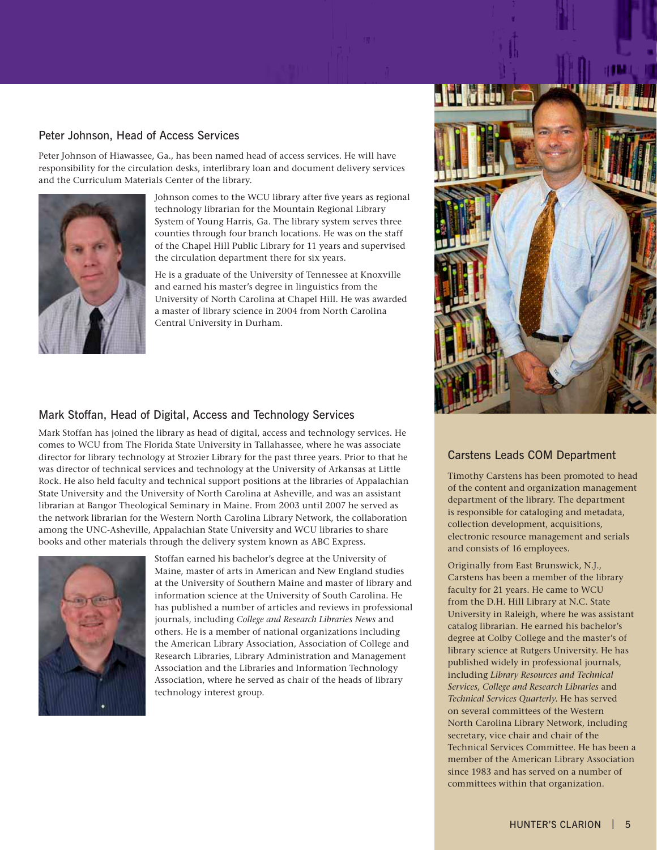#### Peter Johnson, Head of Access Services

Peter Johnson of Hiawassee, Ga., has been named head of access services. He will have responsibility for the circulation desks, interlibrary loan and document delivery services and the Curriculum Materials Center of the library.



Johnson comes to the WCU library after five years as regional technology librarian for the Mountain Regional Library System of Young Harris, Ga. The library system serves three counties through four branch locations. He was on the staff of the Chapel Hill Public Library for 11 years and supervised the circulation department there for six years.

He is a graduate of the University of Tennessee at Knoxville and earned his master's degree in linguistics from the University of North Carolina at Chapel Hill. He was awarded a master of library science in 2004 from North Carolina Central University in Durham.

#### Mark Stoffan, Head of Digital, Access and Technology Services

Mark Stoffan has joined the library as head of digital, access and technology services. He comes to WCU from The Florida State University in Tallahassee, where he was associate director for library technology at Strozier Library for the past three years. Prior to that he was director of technical services and technology at the University of Arkansas at Little Rock. He also held faculty and technical support positions at the libraries of Appalachian State University and the University of North Carolina at Asheville, and was an assistant librarian at Bangor Theological Seminary in Maine. From 2003 until 2007 he served as the network librarian for the Western North Carolina Library Network, the collaboration among the UNC-Asheville, Appalachian State University and WCU libraries to share books and other materials through the delivery system known as ABC Express.



Stoffan earned his bachelor's degree at the University of Maine, master of arts in American and New England studies at the University of Southern Maine and master of library and information science at the University of South Carolina. He has published a number of articles and reviews in professional journals, including *College and Research Libraries News* and others. He is a member of national organizations including the American Library Association, Association of College and Research Libraries, Library Administration and Management Association and the Libraries and Information Technology Association, where he served as chair of the heads of library technology interest group.



#### Carstens Leads COM Department

Timothy Carstens has been promoted to head of the content and organization management department of the library. The department is responsible for cataloging and metadata, collection development, acquisitions, electronic resource management and serials and consists of 16 employees.

Originally from East Brunswick, N.J., Carstens has been a member of the library faculty for 21 years. He came to WCU from the D.H. Hill Library at N.C. State University in Raleigh, where he was assistant catalog librarian. He earned his bachelor's degree at Colby College and the master's of library science at Rutgers University. He has published widely in professional journals, including *Library Resources and Technical Services, College and Research Libraries* and *Technical Services Quarterly*. He has served on several committees of the Western North Carolina Library Network, including secretary, vice chair and chair of the Technical Services Committee. He has been a member of the American Library Association since 1983 and has served on a number of committees within that organization.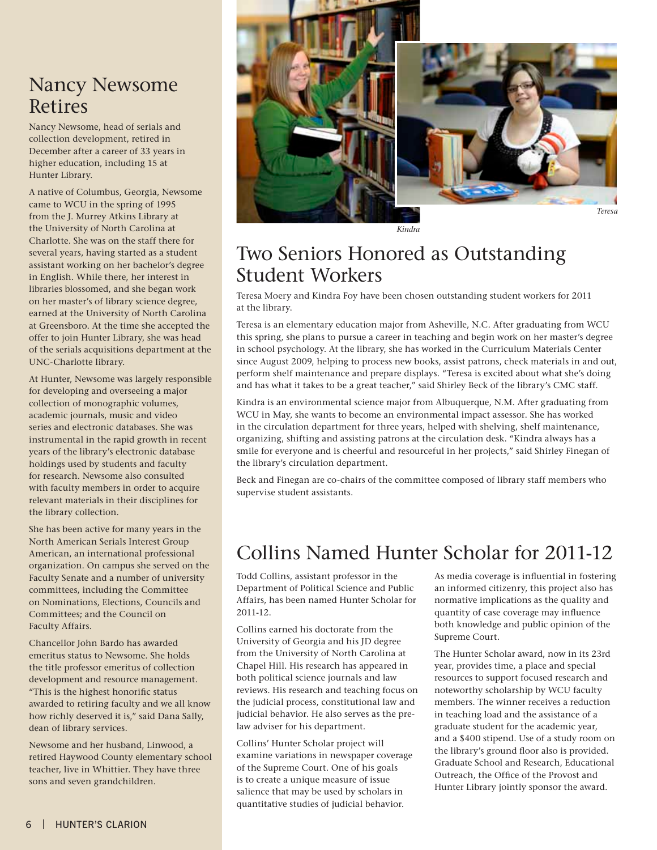### <span id="page-5-0"></span>Nancy Newsome Retires

Nancy Newsome, head of serials and collection development, retired in December after a career of 33 years in higher education, including 15 at Hunter Library.

A native of Columbus, Georgia, Newsome came to WCU in the spring of 1995 from the J. Murrey Atkins Library at the University of North Carolina at Charlotte. She was on the staff there for several years, having started as a student assistant working on her bachelor's degree in English. While there, her interest in libraries blossomed, and she began work on her master's of library science degree, earned at the University of North Carolina at Greensboro. At the time she accepted the offer to join Hunter Library, she was head of the serials acquisitions department at the UNC-Charlotte library.

At Hunter, Newsome was largely responsible for developing and overseeing a major collection of monographic volumes, academic journals, music and video series and electronic databases. She was instrumental in the rapid growth in recent years of the library's electronic database holdings used by students and faculty for research. Newsome also consulted with faculty members in order to acquire relevant materials in their disciplines for the library collection.

She has been active for many years in the North American Serials Interest Group American, an international professional organization. On campus she served on the Faculty Senate and a number of university committees, including the Committee on Nominations, Elections, Councils and Committees; and the Council on Faculty Affairs.

Chancellor John Bardo has awarded emeritus status to Newsome. She holds the title professor emeritus of collection development and resource management. "This is the highest honorific status awarded to retiring faculty and we all know how richly deserved it is," said Dana Sally, dean of library services.

Newsome and her husband, Linwood, a retired Haywood County elementary school teacher, live in Whittier. They have three sons and seven grandchildren.



*Kindra*

### Two Seniors Honored as Outstanding Student Workers

Teresa Moery and Kindra Foy have been chosen outstanding student workers for 2011 at the library.

Teresa is an elementary education major from Asheville, N.C. After graduating from WCU this spring, she plans to pursue a career in teaching and begin work on her master's degree in school psychology. At the library, she has worked in the Curriculum Materials Center since August 2009, helping to process new books, assist patrons, check materials in and out, perform shelf maintenance and prepare displays. "Teresa is excited about what she's doing and has what it takes to be a great teacher," said Shirley Beck of the library's CMC staff.

Kindra is an environmental science major from Albuquerque, N.M. After graduating from WCU in May, she wants to become an environmental impact assessor. She has worked in the circulation department for three years, helped with shelving, shelf maintenance, organizing, shifting and assisting patrons at the circulation desk. "Kindra always has a smile for everyone and is cheerful and resourceful in her projects," said Shirley Finegan of the library's circulation department.

Beck and Finegan are co-chairs of the committee composed of library staff members who supervise student assistants.

# Collins Named Hunter Scholar for 2011-12

Todd Collins, assistant professor in the Department of Political Science and Public Affairs, has been named Hunter Scholar for 2011-12.

Collins earned his doctorate from the University of Georgia and his JD degree from the University of North Carolina at Chapel Hill. His research has appeared in both political science journals and law reviews. His research and teaching focus on the judicial process, constitutional law and judicial behavior. He also serves as the prelaw adviser for his department.

Collins' Hunter Scholar project will examine variations in newspaper coverage of the Supreme Court. One of his goals is to create a unique measure of issue salience that may be used by scholars in quantitative studies of judicial behavior.

As media coverage is influential in fostering an informed citizenry, this project also has normative implications as the quality and quantity of case coverage may influence both knowledge and public opinion of the Supreme Court.

The Hunter Scholar award, now in its 23rd year, provides time, a place and special resources to support focused research and noteworthy scholarship by WCU faculty members. The winner receives a reduction in teaching load and the assistance of a graduate student for the academic year, and a \$400 stipend. Use of a study room on the library's ground floor also is provided. Graduate School and Research, Educational Outreach, the Office of the Provost and Hunter Library jointly sponsor the award.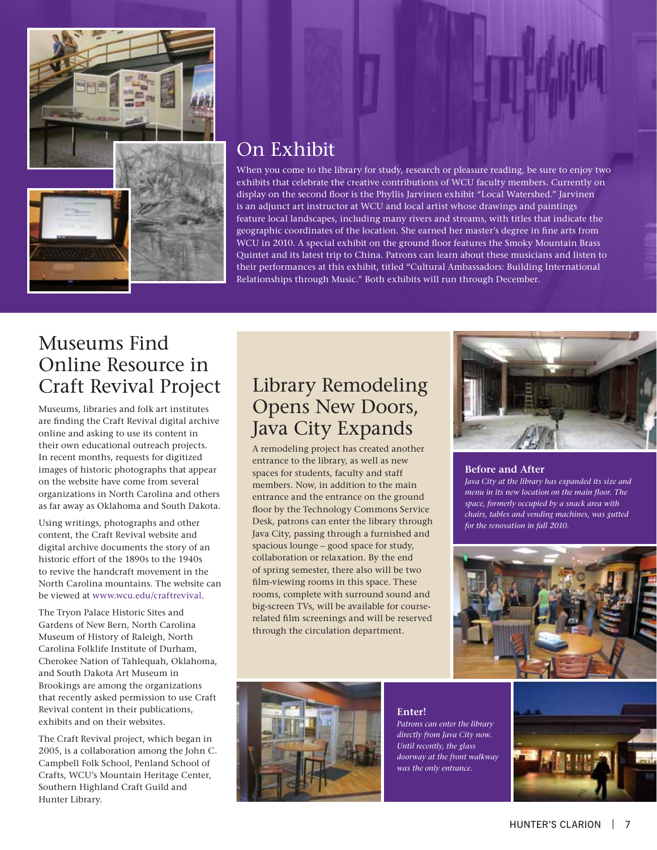<span id="page-6-0"></span>

### On Exhibit

When you come to the library for study, research or pleasure reading, be sure to enjoy two exhibits that celebrate the creative contributions of WCU faculty members. Currently on display on the second floor is the Phyllis Jarvinen exhibit "Local Watershed." Jarvinen is an adjunct art instructor at WCU and local artist whose drawings and paintings feature local landscapes, including many rivers and streams, with titles that indicate the geographic coordinates of the location. She earned her master's degree in fine arts from WCU in 2010. A special exhibit on the ground floor features the Smoky Mountain Brass Quintet and its latest trip to China. Patrons can learn about these musicians and listen to their performances at this exhibit, titled "Cultural Ambassadors: Building International Relationships through Music." Both exhibits will run through December.

### Museums Find Online Resource in Craft Revival Project

Museums, libraries and folk art institutes are finding the Craft Revival digital archive online and asking to use its content in their own educational outreach projects. In recent months, requests for digitized images of historic photographs that appear on the website have come from several organizations in North Carolina and others as far away as Oklahoma and South Dakota.

Using writings, photographs and other content, the Craft Revival website and digital archive documents the story of an historic effort of the 1890s to the 1940s to revive the handcraft movement in the North Carolina mountains. The website can be viewed at [www.wcu.edu/craftrevival.](www.wcu.edu/craftrevival)

The Tryon Palace Historic Sites and Gardens of New Bern, North Carolina Museum of History of Raleigh, North Carolina Folklife Institute of Durham, Cherokee Nation of Tahlequah, Oklahoma, and South Dakota Art Museum in Brookings are among the organizations that recently asked permission to use Craft Revival content in their publications, exhibits and on their websites.

The Craft Revival project, which began in 2005, is a collaboration among the John C. Campbell Folk School, Penland School of Crafts, WCU's Mountain Heritage Center, Southern Highland Craft Guild and Hunter Library.

### Library Remodeling Opens New Doors, Java City Expands

A remodeling project has created another entrance to the library, as well as new spaces for students, faculty and staff members. Now, in addition to the main entrance and the entrance on the ground floor by the Technology Commons Service Desk, patrons can enter the library through Java City, passing through a furnished and spacious lounge – good space for study, collaboration or relaxation. By the end of spring semester, there also will be two film-viewing rooms in this space. These rooms, complete with surround sound and big-screen TVs, will be available for courserelated film screenings and will be reserved through the circulation department.



#### **Before and After**

*Java City at the library has expanded its size and menu in its new location on the main floor. The space, formerly occupied by a snack area with chairs, tables and vending machines, was gutted for the renovation in fall 2010.*





**Enter!** *Patrons can enter the library directly from Java City now. Until recently, the glass doorway at the front walkway was the only entrance.*